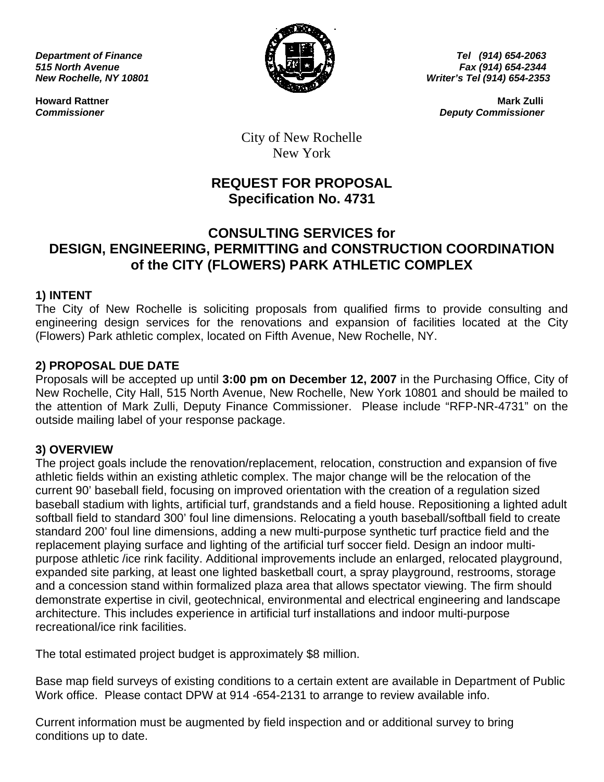

**Department of Finance Tel (914) 654-2063 Finance Tel (914) 654-2063** *515 North Avenue Fax (914) 654-2344 New Rochelle, NY 10801 Writer's Tel (914) 654-2353* 

**Howard Rattner** Mark Zulli **Mark Zulli Institute of the Culli American Culli and Mark Zulli and Mark Zulli and Mark Zulli** *Commissioner Deputy Commissioner* 

> City of New Rochelle New York

# **REQUEST FOR PROPOSAL Specification No. 4731**

## **CONSULTING SERVICES for DESIGN, ENGINEERING, PERMITTING and CONSTRUCTION COORDINATION of the CITY (FLOWERS) PARK ATHLETIC COMPLEX**

## **1) INTENT**

The City of New Rochelle is soliciting proposals from qualified firms to provide consulting and engineering design services for the renovations and expansion of facilities located at the City (Flowers) Park athletic complex, located on Fifth Avenue, New Rochelle, NY.

## **2) PROPOSAL DUE DATE**

Proposals will be accepted up until **3:00 pm on December 12, 2007** in the Purchasing Office, City of New Rochelle, City Hall, 515 North Avenue, New Rochelle, New York 10801 and should be mailed to the attention of Mark Zulli, Deputy Finance Commissioner. Please include "RFP-NR-4731" on the outside mailing label of your response package.

## **3) OVERVIEW**

The project goals include the renovation/replacement, relocation, construction and expansion of five athletic fields within an existing athletic complex. The major change will be the relocation of the current 90' baseball field, focusing on improved orientation with the creation of a regulation sized baseball stadium with lights, artificial turf, grandstands and a field house. Repositioning a lighted adult softball field to standard 300' foul line dimensions. Relocating a youth baseball/softball field to create standard 200' foul line dimensions, adding a new multi-purpose synthetic turf practice field and the replacement playing surface and lighting of the artificial turf soccer field. Design an indoor multipurpose athletic /ice rink facility. Additional improvements include an enlarged, relocated playground, expanded site parking, at least one lighted basketball court, a spray playground, restrooms, storage and a concession stand within formalized plaza area that allows spectator viewing. The firm should demonstrate expertise in civil, geotechnical, environmental and electrical engineering and landscape architecture. This includes experience in artificial turf installations and indoor multi-purpose recreational/ice rink facilities.

The total estimated project budget is approximately \$8 million.

Base map field surveys of existing conditions to a certain extent are available in Department of Public Work office. Please contact DPW at 914 -654-2131 to arrange to review available info.

Current information must be augmented by field inspection and or additional survey to bring conditions up to date.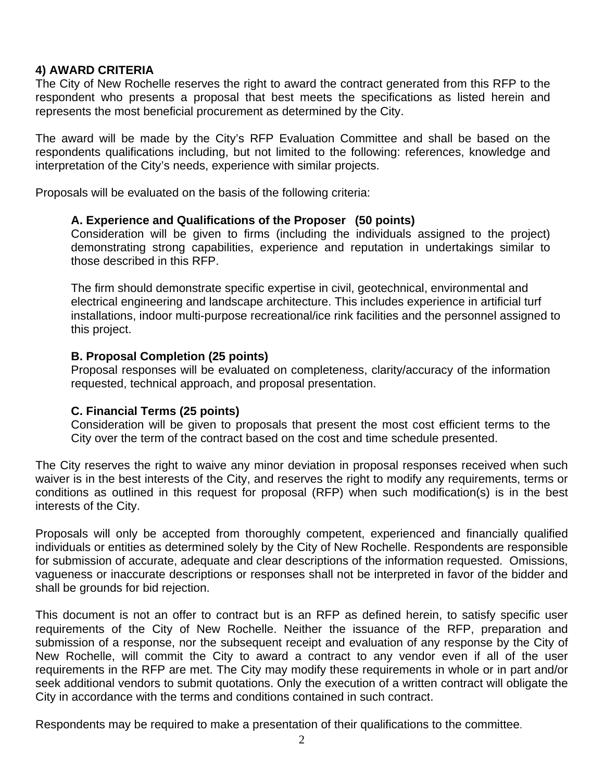### **4) AWARD CRITERIA**

The City of New Rochelle reserves the right to award the contract generated from this RFP to the respondent who presents a proposal that best meets the specifications as listed herein and represents the most beneficial procurement as determined by the City.

The award will be made by the City's RFP Evaluation Committee and shall be based on the respondents qualifications including, but not limited to the following: references, knowledge and interpretation of the City's needs, experience with similar projects.

Proposals will be evaluated on the basis of the following criteria:

### **A. Experience and Qualifications of the Proposer (50 points)**

Consideration will be given to firms (including the individuals assigned to the project) demonstrating strong capabilities, experience and reputation in undertakings similar to those described in this RFP.

 The firm should demonstrate specific expertise in civil, geotechnical, environmental and electrical engineering and landscape architecture. This includes experience in artificial turf installations, indoor multi-purpose recreational/ice rink facilities and the personnel assigned to this project.

### **B. Proposal Completion (25 points)**

Proposal responses will be evaluated on completeness, clarity/accuracy of the information requested, technical approach, and proposal presentation.

### **C. Financial Terms (25 points)**

Consideration will be given to proposals that present the most cost efficient terms to the City over the term of the contract based on the cost and time schedule presented.

The City reserves the right to waive any minor deviation in proposal responses received when such waiver is in the best interests of the City, and reserves the right to modify any requirements, terms or conditions as outlined in this request for proposal (RFP) when such modification(s) is in the best interests of the City.

Proposals will only be accepted from thoroughly competent, experienced and financially qualified individuals or entities as determined solely by the City of New Rochelle. Respondents are responsible for submission of accurate, adequate and clear descriptions of the information requested. Omissions, vagueness or inaccurate descriptions or responses shall not be interpreted in favor of the bidder and shall be grounds for bid rejection.

This document is not an offer to contract but is an RFP as defined herein, to satisfy specific user requirements of the City of New Rochelle. Neither the issuance of the RFP, preparation and submission of a response, nor the subsequent receipt and evaluation of any response by the City of New Rochelle, will commit the City to award a contract to any vendor even if all of the user requirements in the RFP are met. The City may modify these requirements in whole or in part and/or seek additional vendors to submit quotations. Only the execution of a written contract will obligate the City in accordance with the terms and conditions contained in such contract.

Respondents may be required to make a presentation of their qualifications to the committee.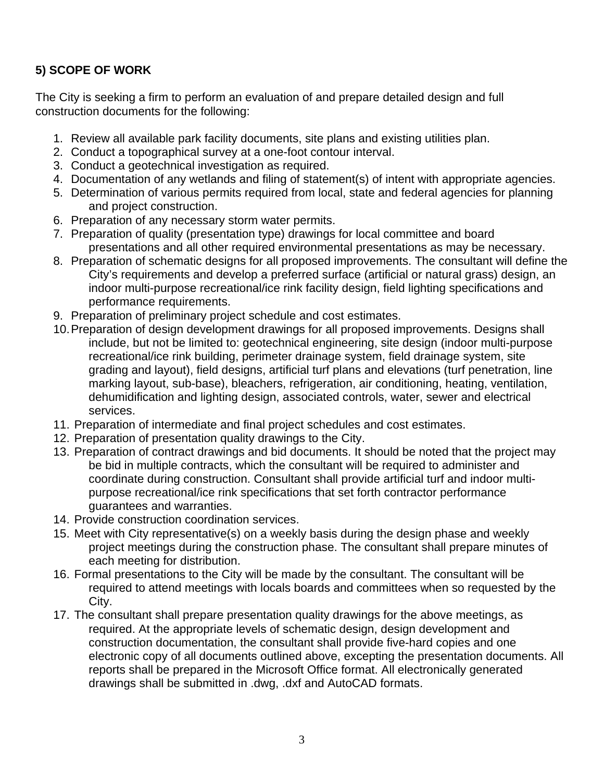## **5) SCOPE OF WORK**

The City is seeking a firm to perform an evaluation of and prepare detailed design and full construction documents for the following:

- 1. Review all available park facility documents, site plans and existing utilities plan.
- 2. Conduct a topographical survey at a one-foot contour interval.
- 3. Conduct a geotechnical investigation as required.
- 4. Documentation of any wetlands and filing of statement(s) of intent with appropriate agencies.
- 5. Determination of various permits required from local, state and federal agencies for planning and project construction.
- 6. Preparation of any necessary storm water permits.
- 7. Preparation of quality (presentation type) drawings for local committee and board presentations and all other required environmental presentations as may be necessary.
- 8. Preparation of schematic designs for all proposed improvements. The consultant will define the City's requirements and develop a preferred surface (artificial or natural grass) design, an indoor multi-purpose recreational/ice rink facility design, field lighting specifications and performance requirements.
- 9. Preparation of preliminary project schedule and cost estimates.
- 10. Preparation of design development drawings for all proposed improvements. Designs shall include, but not be limited to: geotechnical engineering, site design (indoor multi-purpose recreational/ice rink building, perimeter drainage system, field drainage system, site grading and layout), field designs, artificial turf plans and elevations (turf penetration, line marking layout, sub-base), bleachers, refrigeration, air conditioning, heating, ventilation, dehumidification and lighting design, associated controls, water, sewer and electrical services.
- 11. Preparation of intermediate and final project schedules and cost estimates.
- 12. Preparation of presentation quality drawings to the City.
- 13. Preparation of contract drawings and bid documents. It should be noted that the project may be bid in multiple contracts, which the consultant will be required to administer and coordinate during construction. Consultant shall provide artificial turf and indoor multipurpose recreational/ice rink specifications that set forth contractor performance guarantees and warranties.
- 14. Provide construction coordination services.
- 15. Meet with City representative(s) on a weekly basis during the design phase and weekly project meetings during the construction phase. The consultant shall prepare minutes of each meeting for distribution.
- 16. Formal presentations to the City will be made by the consultant. The consultant will be required to attend meetings with locals boards and committees when so requested by the City.
- 17. The consultant shall prepare presentation quality drawings for the above meetings, as required. At the appropriate levels of schematic design, design development and construction documentation, the consultant shall provide five-hard copies and one electronic copy of all documents outlined above, excepting the presentation documents. All reports shall be prepared in the Microsoft Office format. All electronically generated drawings shall be submitted in .dwg, .dxf and AutoCAD formats.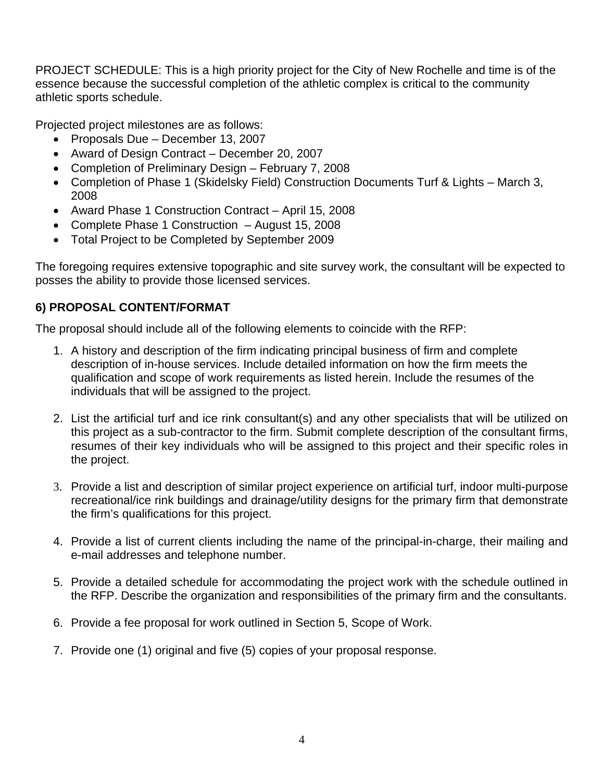PROJECT SCHEDULE: This is a high priority project for the City of New Rochelle and time is of the essence because the successful completion of the athletic complex is critical to the community athletic sports schedule.

Projected project milestones are as follows:

- Proposals Due December 13, 2007
- Award of Design Contract December 20, 2007
- Completion of Preliminary Design February 7, 2008
- Completion of Phase 1 (Skidelsky Field) Construction Documents Turf & Lights March 3, 2008
- Award Phase 1 Construction Contract April 15, 2008
- Complete Phase 1 Construction August 15, 2008
- Total Project to be Completed by September 2009

The foregoing requires extensive topographic and site survey work, the consultant will be expected to posses the ability to provide those licensed services.

## **6) PROPOSAL CONTENT/FORMAT**

The proposal should include all of the following elements to coincide with the RFP:

- 1. A history and description of the firm indicating principal business of firm and complete description of in-house services. Include detailed information on how the firm meets the qualification and scope of work requirements as listed herein. Include the resumes of the individuals that will be assigned to the project.
- 2. List the artificial turf and ice rink consultant(s) and any other specialists that will be utilized on this project as a sub-contractor to the firm. Submit complete description of the consultant firms, resumes of their key individuals who will be assigned to this project and their specific roles in the project.
- 3. Provide a list and description of similar project experience on artificial turf, indoor multi-purpose recreational/ice rink buildings and drainage/utility designs for the primary firm that demonstrate the firm's qualifications for this project.
- 4. Provide a list of current clients including the name of the principal-in-charge, their mailing and e-mail addresses and telephone number.
- 5. Provide a detailed schedule for accommodating the project work with the schedule outlined in the RFP. Describe the organization and responsibilities of the primary firm and the consultants.
- 6. Provide a fee proposal for work outlined in Section 5, Scope of Work.
- 7. Provide one (1) original and five (5) copies of your proposal response.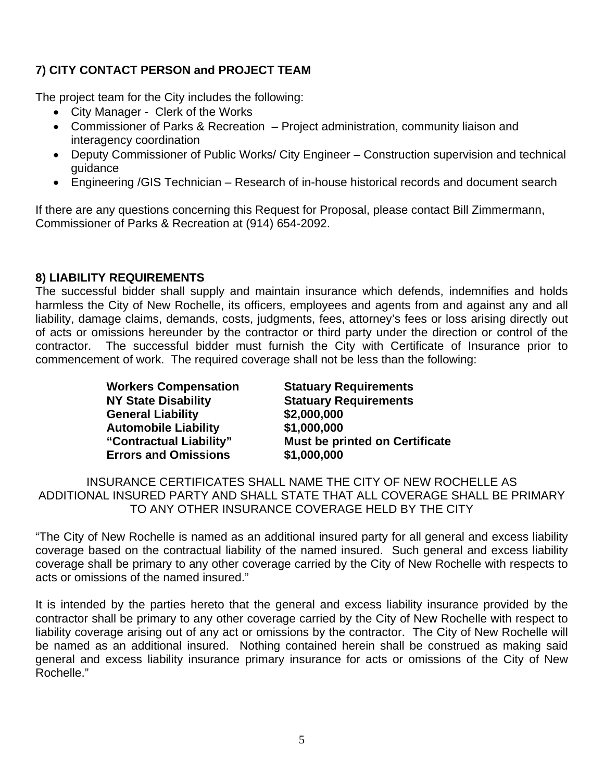## **7) CITY CONTACT PERSON and PROJECT TEAM**

The project team for the City includes the following:

- City Manager Clerk of the Works
- Commissioner of Parks & Recreation Project administration, community liaison and interagency coordination
- Deputy Commissioner of Public Works/ City Engineer Construction supervision and technical guidance
- Engineering /GIS Technician Research of in-house historical records and document search

If there are any questions concerning this Request for Proposal, please contact Bill Zimmermann, Commissioner of Parks & Recreation at (914) 654-2092.

## **8) LIABILITY REQUIREMENTS**

The successful bidder shall supply and maintain insurance which defends, indemnifies and holds harmless the City of New Rochelle, its officers, employees and agents from and against any and all liability, damage claims, demands, costs, judgments, fees, attorney's fees or loss arising directly out of acts or omissions hereunder by the contractor or third party under the direction or control of the contractor. The successful bidder must furnish the City with Certificate of Insurance prior to commencement of work. The required coverage shall not be less than the following:

> **Workers Compensation Statuary Requirements General Liability \$2,000,000 Automobile Liability \$1,000,000 Errors and Omissions \$1,000,000**

**NY State Disability 6 Statuary Requirements "Contractual Liability" Must be printed on Certificate**

INSURANCE CERTIFICATES SHALL NAME THE CITY OF NEW ROCHELLE AS ADDITIONAL INSURED PARTY AND SHALL STATE THAT ALL COVERAGE SHALL BE PRIMARY TO ANY OTHER INSURANCE COVERAGE HELD BY THE CITY

"The City of New Rochelle is named as an additional insured party for all general and excess liability coverage based on the contractual liability of the named insured. Such general and excess liability coverage shall be primary to any other coverage carried by the City of New Rochelle with respects to acts or omissions of the named insured."

It is intended by the parties hereto that the general and excess liability insurance provided by the contractor shall be primary to any other coverage carried by the City of New Rochelle with respect to liability coverage arising out of any act or omissions by the contractor. The City of New Rochelle will be named as an additional insured. Nothing contained herein shall be construed as making said general and excess liability insurance primary insurance for acts or omissions of the City of New Rochelle."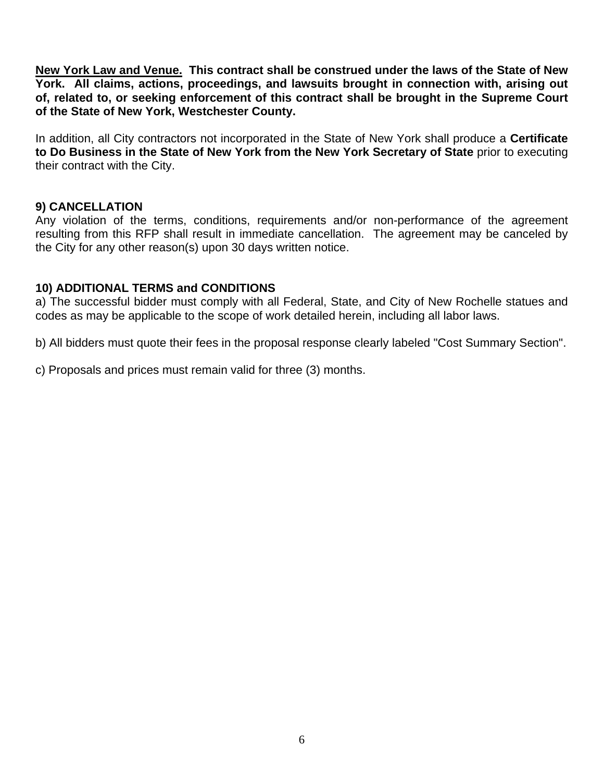**New York Law and Venue. This contract shall be construed under the laws of the State of New York. All claims, actions, proceedings, and lawsuits brought in connection with, arising out of, related to, or seeking enforcement of this contract shall be brought in the Supreme Court of the State of New York, Westchester County.** 

In addition, all City contractors not incorporated in the State of New York shall produce a **Certificate to Do Business in the State of New York from the New York Secretary of State** prior to executing their contract with the City.

### **9) CANCELLATION**

Any violation of the terms, conditions, requirements and/or non-performance of the agreement resulting from this RFP shall result in immediate cancellation. The agreement may be canceled by the City for any other reason(s) upon 30 days written notice.

## **10) ADDITIONAL TERMS and CONDITIONS**

a) The successful bidder must comply with all Federal, State, and City of New Rochelle statues and codes as may be applicable to the scope of work detailed herein, including all labor laws.

b) All bidders must quote their fees in the proposal response clearly labeled "Cost Summary Section".

c) Proposals and prices must remain valid for three (3) months.